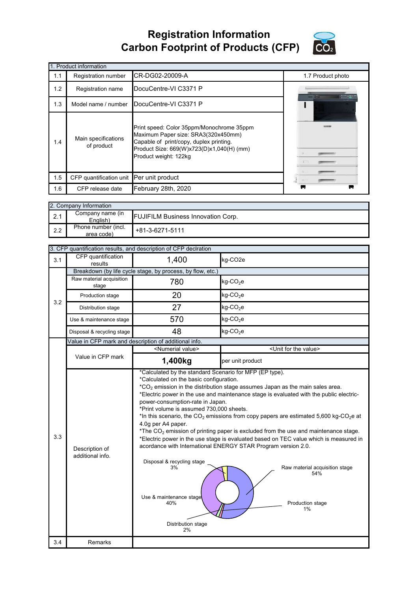## **Registration Information Carbon Footprint of Products (CFP)**



|     | 1. Product information                   |                                                                                                                                                                                                   |                   |  |  |  |
|-----|------------------------------------------|---------------------------------------------------------------------------------------------------------------------------------------------------------------------------------------------------|-------------------|--|--|--|
| 1.1 | Registration number                      | CR-DG02-20009-A                                                                                                                                                                                   | 1.7 Product photo |  |  |  |
| 1.2 | Registration name                        | DocuCentre-VI C3371 P                                                                                                                                                                             |                   |  |  |  |
| 1.3 | Model name / number                      | DocuCentre-VI C3371 P                                                                                                                                                                             |                   |  |  |  |
| 1.4 | Main specifications<br>of product        | Print speed: Color 35ppm/Monochrome 35ppm<br>Maximum Paper size: SRA3(320x450mm)<br>Capable of print/copy, duplex printing.<br>Product Size: 669(W)x723(D)x1,040(H) (mm)<br>Product weight: 122kg | $\frac{1}{2}$     |  |  |  |
| 1.5 | CFP quantification unit Per unit product |                                                                                                                                                                                                   |                   |  |  |  |
| 1.6 | CFP release date                         | February 28th, 2020                                                                                                                                                                               |                   |  |  |  |

|     | 2. Company Information            |                                           |  |  |  |
|-----|-----------------------------------|-------------------------------------------|--|--|--|
| 2.1 | Company name (in<br>Enalish)      | <b>FUJIFILM Business Innovation Corp.</b> |  |  |  |
| 2.2 | Phone number (incl.<br>area code) | +81-3-6271-5111                           |  |  |  |

|     | 3. CFP quantification results, and description of CFP declration |                                                                                                                                                                                                                                                                                                                                                                                                                                                                                                                                                                                                                                                                                                                                                                                                                                                                                                                           |                                      |  |
|-----|------------------------------------------------------------------|---------------------------------------------------------------------------------------------------------------------------------------------------------------------------------------------------------------------------------------------------------------------------------------------------------------------------------------------------------------------------------------------------------------------------------------------------------------------------------------------------------------------------------------------------------------------------------------------------------------------------------------------------------------------------------------------------------------------------------------------------------------------------------------------------------------------------------------------------------------------------------------------------------------------------|--------------------------------------|--|
| 3.1 | CFP quantification<br>results                                    | 1,400                                                                                                                                                                                                                                                                                                                                                                                                                                                                                                                                                                                                                                                                                                                                                                                                                                                                                                                     | kg-CO <sub>2e</sub>                  |  |
|     | Breakdown (by life cycle stage, by process, by flow, etc.)       |                                                                                                                                                                                                                                                                                                                                                                                                                                                                                                                                                                                                                                                                                                                                                                                                                                                                                                                           |                                      |  |
|     | Raw material acquisition<br>stage                                | 780                                                                                                                                                                                                                                                                                                                                                                                                                                                                                                                                                                                                                                                                                                                                                                                                                                                                                                                       | $kg$ -CO <sub>2</sub> e              |  |
| 3.2 | Production stage                                                 | 20                                                                                                                                                                                                                                                                                                                                                                                                                                                                                                                                                                                                                                                                                                                                                                                                                                                                                                                        | $kg$ -CO <sub>2</sub> e              |  |
|     | Distribution stage                                               | 27                                                                                                                                                                                                                                                                                                                                                                                                                                                                                                                                                                                                                                                                                                                                                                                                                                                                                                                        | $kg$ -CO <sub>2</sub> e              |  |
|     | Use & maintenance stage                                          | 570                                                                                                                                                                                                                                                                                                                                                                                                                                                                                                                                                                                                                                                                                                                                                                                                                                                                                                                       | $kg$ -CO <sub>2</sub> e              |  |
|     | Disposal & recycling stage                                       | 48                                                                                                                                                                                                                                                                                                                                                                                                                                                                                                                                                                                                                                                                                                                                                                                                                                                                                                                        | kg-CO <sub>2</sub> e                 |  |
|     |                                                                  | Value in CFP mark and description of additional info.                                                                                                                                                                                                                                                                                                                                                                                                                                                                                                                                                                                                                                                                                                                                                                                                                                                                     |                                      |  |
|     |                                                                  | <numerial value=""></numerial>                                                                                                                                                                                                                                                                                                                                                                                                                                                                                                                                                                                                                                                                                                                                                                                                                                                                                            | <unit for="" the="" value=""></unit> |  |
|     | Value in CFP mark                                                | 1,400kg                                                                                                                                                                                                                                                                                                                                                                                                                                                                                                                                                                                                                                                                                                                                                                                                                                                                                                                   | per unit product                     |  |
| 3.3 | Description of<br>additional info.                               | *Calculated by the standard Scenario for MFP (EP type).<br>*Calculated on the basic configuration.<br>$*CO2$ emission in the distribution stage assumes Japan as the main sales area.<br>*Electric power in the use and maintenance stage is evaluated with the public electric-<br>power-consumption-rate in Japan.<br>*Print volume is assumed 730,000 sheets.<br>*In this scenario, the CO <sub>2</sub> emissions from copy papers are estimated 5,600 kg-CO <sub>2</sub> e at<br>4.0g per A4 paper.<br>*The $CO2$ emission of printing paper is excluded from the use and maintenance stage.<br>*Electric power in the use stage is evaluated based on TEC value which is measured in<br>acordance with International ENERGY STAR Program version 2.0.<br>Disposal & recycling stage<br>Raw material acquisition stage<br>3%<br>54%<br>Use & maintenance stage<br>Production stage<br>40%<br>1%<br>Distribution stage |                                      |  |
| 3.4 | Remarks                                                          |                                                                                                                                                                                                                                                                                                                                                                                                                                                                                                                                                                                                                                                                                                                                                                                                                                                                                                                           |                                      |  |
|     |                                                                  |                                                                                                                                                                                                                                                                                                                                                                                                                                                                                                                                                                                                                                                                                                                                                                                                                                                                                                                           |                                      |  |